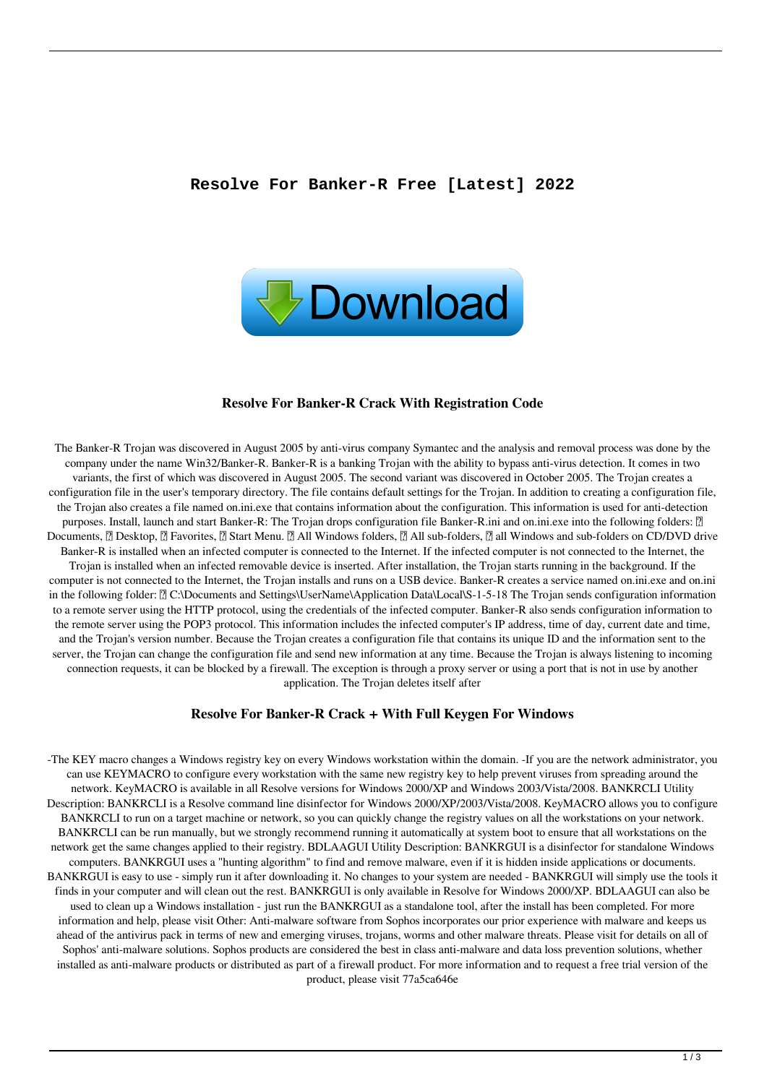

#### **Resolve For Banker-R Crack With Registration Code**

The Banker-R Trojan was discovered in August 2005 by anti-virus company Symantec and the analysis and removal process was done by the company under the name Win32/Banker-R. Banker-R is a banking Trojan with the ability to bypass anti-virus detection. It comes in two variants, the first of which was discovered in August 2005. The second variant was discovered in October 2005. The Trojan creates a configuration file in the user's temporary directory. The file contains default settings for the Trojan. In addition to creating a configuration file, the Trojan also creates a file named on.ini.exe that contains information about the configuration. This information is used for anti-detection purposes. Install, launch and start Banker-R: The Trojan drops configuration file Banker-R.ini and on.ini.exe into the following folders: [2] Documents, Desktop, *<b> Pavorites,*  Start Menu. All Windows folders, All sub-folders, all Windows and sub-folders on CD/DVD drive Banker-R is installed when an infected computer is connected to the Internet. If the infected computer is not connected to the Internet, the Trojan is installed when an infected removable device is inserted. After installation, the Trojan starts running in the background. If the computer is not connected to the Internet, the Trojan installs and runs on a USB device. Banker-R creates a service named on.ini.exe and on.ini in the following folder: [] C:\Documents and Settings\UserName\Application Data\Local\S-1-5-18 The Trojan sends configuration information to a remote server using the HTTP protocol, using the credentials of the infected computer. Banker-R also sends configuration information to the remote server using the POP3 protocol. This information includes the infected computer's IP address, time of day, current date and time, and the Trojan's version number. Because the Trojan creates a configuration file that contains its unique ID and the information sent to the server, the Trojan can change the configuration file and send new information at any time. Because the Trojan is always listening to incoming connection requests, it can be blocked by a firewall. The exception is through a proxy server or using a port that is not in use by another application. The Trojan deletes itself after

#### **Resolve For Banker-R Crack + With Full Keygen For Windows**

-The KEY macro changes a Windows registry key on every Windows workstation within the domain. -If you are the network administrator, you can use KEYMACRO to configure every workstation with the same new registry key to help prevent viruses from spreading around the network. KeyMACRO is available in all Resolve versions for Windows 2000/XP and Windows 2003/Vista/2008. BANKRCLI Utility Description: BANKRCLI is a Resolve command line disinfector for Windows 2000/XP/2003/Vista/2008. KeyMACRO allows you to configure BANKRCLI to run on a target machine or network, so you can quickly change the registry values on all the workstations on your network. BANKRCLI can be run manually, but we strongly recommend running it automatically at system boot to ensure that all workstations on the network get the same changes applied to their registry. BDLAAGUI Utility Description: BANKRGUI is a disinfector for standalone Windows computers. BANKRGUI uses a "hunting algorithm" to find and remove malware, even if it is hidden inside applications or documents. BANKRGUI is easy to use - simply run it after downloading it. No changes to your system are needed - BANKRGUI will simply use the tools it finds in your computer and will clean out the rest. BANKRGUI is only available in Resolve for Windows 2000/XP. BDLAAGUI can also be used to clean up a Windows installation - just run the BANKRGUI as a standalone tool, after the install has been completed. For more information and help, please visit Other: Anti-malware software from Sophos incorporates our prior experience with malware and keeps us ahead of the antivirus pack in terms of new and emerging viruses, trojans, worms and other malware threats. Please visit for details on all of Sophos' anti-malware solutions. Sophos products are considered the best in class anti-malware and data loss prevention solutions, whether installed as anti-malware products or distributed as part of a firewall product. For more information and to request a free trial version of the product, please visit 77a5ca646e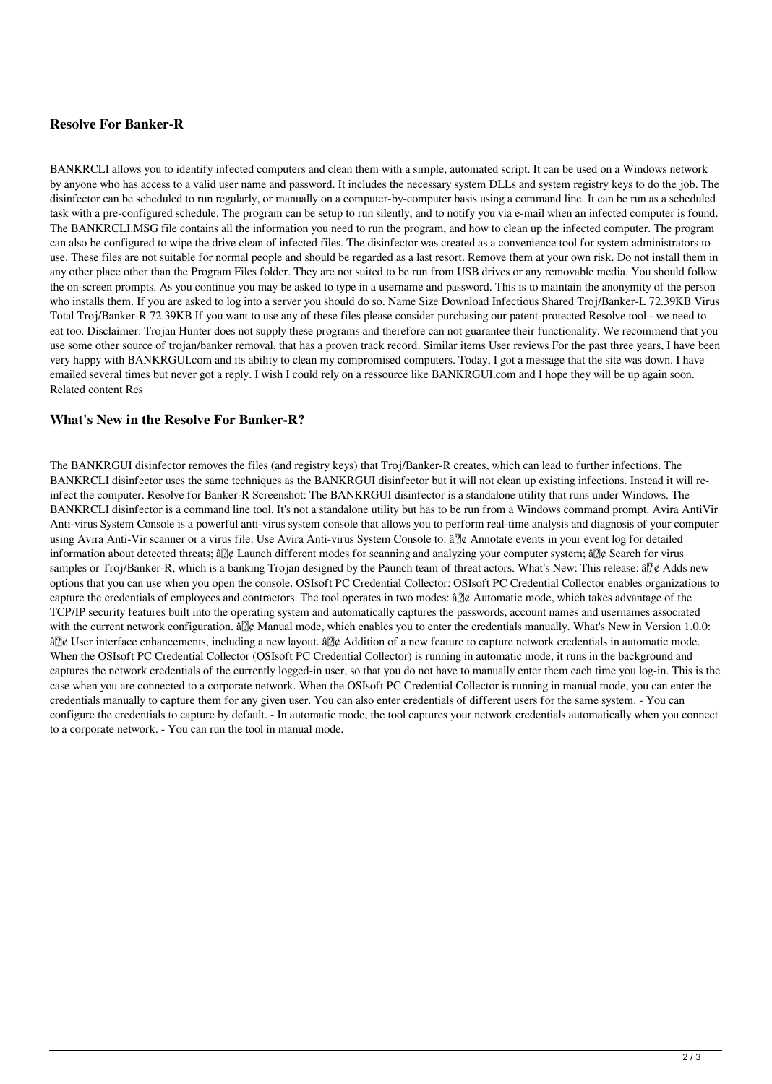# **Resolve For Banker-R**

BANKRCLI allows you to identify infected computers and clean them with a simple, automated script. It can be used on a Windows network by anyone who has access to a valid user name and password. It includes the necessary system DLLs and system registry keys to do the job. The disinfector can be scheduled to run regularly, or manually on a computer-by-computer basis using a command line. It can be run as a scheduled task with a pre-configured schedule. The program can be setup to run silently, and to notify you via e-mail when an infected computer is found. The BANKRCLI.MSG file contains all the information you need to run the program, and how to clean up the infected computer. The program can also be configured to wipe the drive clean of infected files. The disinfector was created as a convenience tool for system administrators to use. These files are not suitable for normal people and should be regarded as a last resort. Remove them at your own risk. Do not install them in any other place other than the Program Files folder. They are not suited to be run from USB drives or any removable media. You should follow the on-screen prompts. As you continue you may be asked to type in a username and password. This is to maintain the anonymity of the person who installs them. If you are asked to log into a server you should do so. Name Size Download Infectious Shared Troj/Banker-L 72.39KB Virus Total Troj/Banker-R 72.39KB If you want to use any of these files please consider purchasing our patent-protected Resolve tool - we need to eat too. Disclaimer: Trojan Hunter does not supply these programs and therefore can not guarantee their functionality. We recommend that you use some other source of trojan/banker removal, that has a proven track record. Similar items User reviews For the past three years, I have been very happy with BANKRGUI.com and its ability to clean my compromised computers. Today, I got a message that the site was down. I have emailed several times but never got a reply. I wish I could rely on a ressource like BANKRGUI.com and I hope they will be up again soon. Related content Res

### **What's New in the Resolve For Banker-R?**

The BANKRGUI disinfector removes the files (and registry keys) that Troj/Banker-R creates, which can lead to further infections. The BANKRCLI disinfector uses the same techniques as the BANKRGUI disinfector but it will not clean up existing infections. Instead it will reinfect the computer. Resolve for Banker-R Screenshot: The BANKRGUI disinfector is a standalone utility that runs under Windows. The BANKRCLI disinfector is a command line tool. It's not a standalone utility but has to be run from a Windows command prompt. Avira AntiVir Anti-virus System Console is a powerful anti-virus system console that allows you to perform real-time analysis and diagnosis of your computer using Avira Anti-Vir scanner or a virus file. Use Avira Anti-virus System Console to: â $\mathbb{Z}$ ¢ Annotate events in your event log for detailed information about detected threats;  $\frac{3}{2}$  Launch different modes for scanning and analyzing your computer system;  $\frac{3}{2}$  Search for virus samples or Troj/Banker-R, which is a banking Trojan designed by the Paunch team of threat actors. What's New: This release: â $\mathbb{Z} \notin$  Adds new options that you can use when you open the console. OSIsoft PC Credential Collector: OSIsoft PC Credential Collector enables organizations to capture the credentials of employees and contractors. The tool operates in two modes:  $\frac{\partial \mathbb{D}}{\partial \phi}$  Automatic mode, which takes advantage of the TCP/IP security features built into the operating system and automatically captures the passwords, account names and usernames associated with the current network configuration.  $\frac{d}{d\theta}$  Manual mode, which enables you to enter the credentials manually. What's New in Version 1.0.0: â⊠¢ User interface enhancements, including a new layout. â⊠¢ Addition of a new feature to capture network credentials in automatic mode. When the OSIsoft PC Credential Collector (OSIsoft PC Credential Collector) is running in automatic mode, it runs in the background and captures the network credentials of the currently logged-in user, so that you do not have to manually enter them each time you log-in. This is the case when you are connected to a corporate network. When the OSIsoft PC Credential Collector is running in manual mode, you can enter the credentials manually to capture them for any given user. You can also enter credentials of different users for the same system. - You can configure the credentials to capture by default. - In automatic mode, the tool captures your network credentials automatically when you connect to a corporate network. - You can run the tool in manual mode,